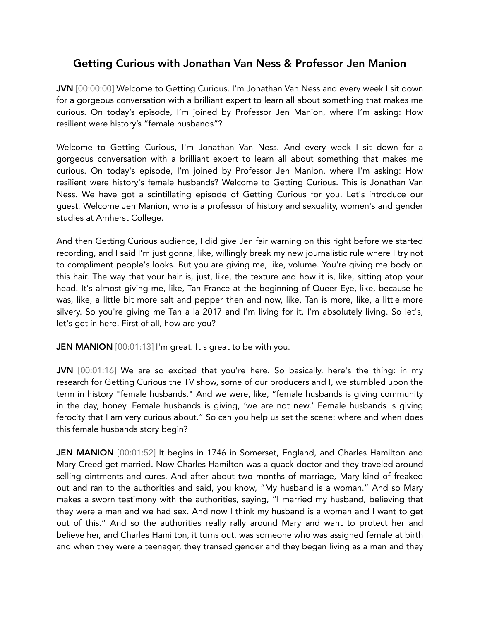# Getting Curious with Jonathan Van Ness & Professor Jen Manion

JVN [00:00:00] Welcome to Getting Curious. I'm Jonathan Van Ness and every week I sit down for a gorgeous conversation with a brilliant expert to learn all about something that makes me curious. On today's episode, I'm joined by Professor Jen Manion, where I'm asking: How resilient were history's "female husbands"?

Welcome to Getting Curious, I'm Jonathan Van Ness. And every week I sit down for a gorgeous conversation with a brilliant expert to learn all about something that makes me curious. On today's episode, I'm joined by Professor Jen Manion, where I'm asking: How resilient were history's female husbands? Welcome to Getting Curious. This is Jonathan Van Ness. We have got a scintillating episode of Getting Curious for you. Let's introduce our guest. Welcome Jen Manion, who is a professor of history and sexuality, women's and gender studies at Amherst College.

And then Getting Curious audience, I did give Jen fair warning on this right before we started recording, and I said I'm just gonna, like, willingly break my new journalistic rule where I try not to compliment people's looks. But you are giving me, like, volume. You're giving me body on this hair. The way that your hair is, just, like, the texture and how it is, like, sitting atop your head. It's almost giving me, like, Tan France at the beginning of Queer Eye, like, because he was, like, a little bit more salt and pepper then and now, like, Tan is more, like, a little more silvery. So you're giving me Tan a la 2017 and I'm living for it. I'm absolutely living. So let's, let's get in here. First of all, how are you?

JEN MANION [00:01:13] I'm great. It's great to be with you.

JVN [00:01:16] We are so excited that you're here. So basically, here's the thing: in my research for Getting Curious the TV show, some of our producers and I, we stumbled upon the term in history "female husbands." And we were, like, "female husbands is giving community in the day, honey. Female husbands is giving, 'we are not new.' Female husbands is giving ferocity that I am very curious about." So can you help us set the scene: where and when does this female husbands story begin?

JEN MANION [00:01:52] It begins in 1746 in Somerset, England, and Charles Hamilton and Mary Creed get married. Now Charles Hamilton was a quack doctor and they traveled around selling ointments and cures. And after about two months of marriage, Mary kind of freaked out and ran to the authorities and said, you know, "My husband is a woman." And so Mary makes a sworn testimony with the authorities, saying, "I married my husband, believing that they were a man and we had sex. And now I think my husband is a woman and I want to get out of this." And so the authorities really rally around Mary and want to protect her and believe her, and Charles Hamilton, it turns out, was someone who was assigned female at birth and when they were a teenager, they transed gender and they began living as a man and they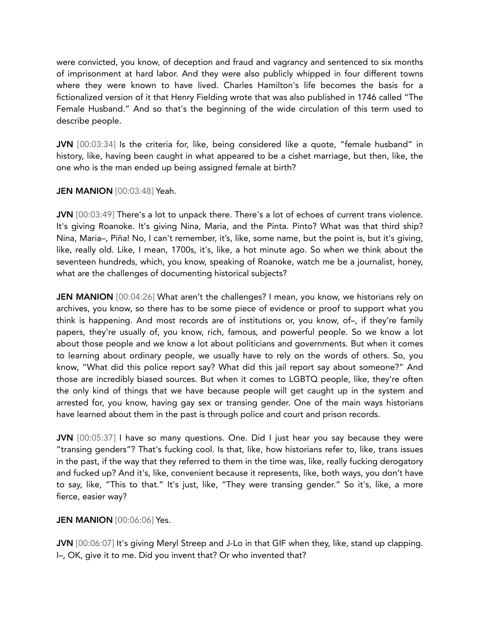were convicted, you know, of deception and fraud and vagrancy and sentenced to six months of imprisonment at hard labor. And they were also publicly whipped in four different towns where they were known to have lived. Charles Hamilton's life becomes the basis for a fictionalized version of it that Henry Fielding wrote that was also published in 1746 called "The Female Husband." And so that's the beginning of the wide circulation of this term used to describe people.

JVN [00:03:34] Is the criteria for, like, being considered like a quote, "female husband" in history, like, having been caught in what appeared to be a cishet marriage, but then, like, the one who is the man ended up being assigned female at birth?

JEN MANION [00:03:48] Yeah.

JVN [00:03:49] There's a lot to unpack there. There's a lot of echoes of current trans violence. It's giving Roanoke. It's giving Nina, Maria, and the Pinta. Pinto? What was that third ship? Nina, Maria–, Piña! No, I can't remember, it's, like, some name, but the point is, but it's giving, like, really old. Like, I mean, 1700s, it's, like, a hot minute ago. So when we think about the seventeen hundreds, which, you know, speaking of Roanoke, watch me be a journalist, honey, what are the challenges of documenting historical subjects?

JEN MANION [00:04:26] What aren't the challenges? I mean, you know, we historians rely on archives, you know, so there has to be some piece of evidence or proof to support what you think is happening. And most records are of institutions or, you know, of–, if they're family papers, they're usually of, you know, rich, famous, and powerful people. So we know a lot about those people and we know a lot about politicians and governments. But when it comes to learning about ordinary people, we usually have to rely on the words of others. So, you know, "What did this police report say? What did this jail report say about someone?" And those are incredibly biased sources. But when it comes to LGBTQ people, like, they're often the only kind of things that we have because people will get caught up in the system and arrested for, you know, having gay sex or transing gender. One of the main ways historians have learned about them in the past is through police and court and prison records.

JVN [00:05:37] I have so many questions. One. Did I just hear you say because they were "transing genders"? That's fucking cool. Is that, like, how historians refer to, like, trans issues in the past, if the way that they referred to them in the time was, like, really fucking derogatory and fucked up? And it's, like, convenient because it represents, like, both ways, you don't have to say, like, "This to that." It's just, like, "They were transing gender." So it's, like, a more fierce, easier way?

## **JEN MANION** [00:06:06] Yes.

JVN [00:06:07] It's giving Meryl Streep and J-Lo in that GIF when they, like, stand up clapping. I–, OK, give it to me. Did you invent that? Or who invented that?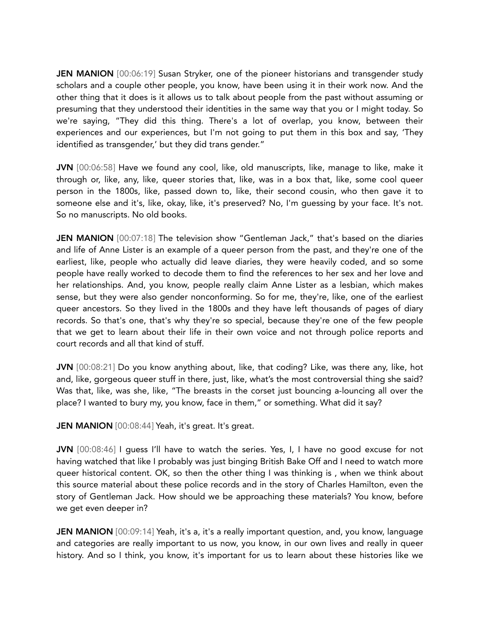JEN MANION [00:06:19] Susan Stryker, one of the pioneer historians and transgender study scholars and a couple other people, you know, have been using it in their work now. And the other thing that it does is it allows us to talk about people from the past without assuming or presuming that they understood their identities in the same way that you or I might today. So we're saying, "They did this thing. There's a lot of overlap, you know, between their experiences and our experiences, but I'm not going to put them in this box and say, 'They identified as transgender,' but they did trans gender."

JVN [00:06:58] Have we found any cool, like, old manuscripts, like, manage to like, make it through or, like, any, like, queer stories that, like, was in a box that, like, some cool queer person in the 1800s, like, passed down to, like, their second cousin, who then gave it to someone else and it's, like, okay, like, it's preserved? No, I'm guessing by your face. It's not. So no manuscripts. No old books.

JEN MANION [00:07:18] The television show "Gentleman Jack," that's based on the diaries and life of Anne Lister is an example of a queer person from the past, and they're one of the earliest, like, people who actually did leave diaries, they were heavily coded, and so some people have really worked to decode them to find the references to her sex and her love and her relationships. And, you know, people really claim Anne Lister as a lesbian, which makes sense, but they were also gender nonconforming. So for me, they're, like, one of the earliest queer ancestors. So they lived in the 1800s and they have left thousands of pages of diary records. So that's one, that's why they're so special, because they're one of the few people that we get to learn about their life in their own voice and not through police reports and court records and all that kind of stuff.

JVN [00:08:21] Do you know anything about, like, that coding? Like, was there any, like, hot and, like, gorgeous queer stuff in there, just, like, what's the most controversial thing she said? Was that, like, was she, like, "The breasts in the corset just bouncing a-louncing all over the place? I wanted to bury my, you know, face in them," or something. What did it say?

JEN MANION [00:08:44] Yeah, it's great. It's great.

JVN [00:08:46] I guess I'll have to watch the series. Yes, I, I have no good excuse for not having watched that like I probably was just binging British Bake Off and I need to watch more queer historical content. OK, so then the other thing I was thinking is , when we think about this source material about these police records and in the story of Charles Hamilton, even the story of Gentleman Jack. How should we be approaching these materials? You know, before we get even deeper in?

**JEN MANION** [00:09:14] Yeah, it's a, it's a really important question, and, you know, language and categories are really important to us now, you know, in our own lives and really in queer history. And so I think, you know, it's important for us to learn about these histories like we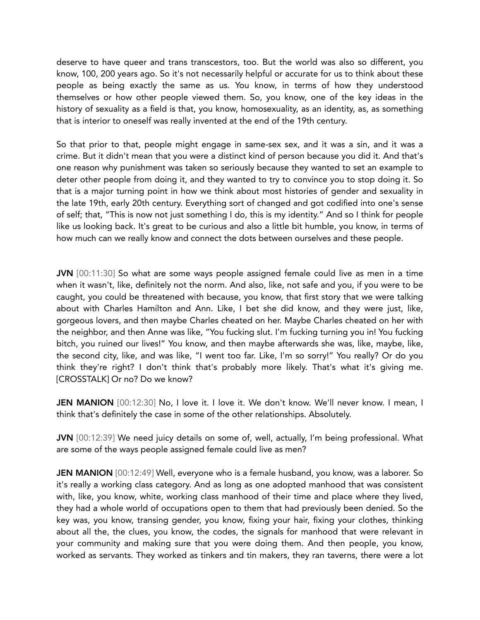deserve to have queer and trans transcestors, too. But the world was also so different, you know, 100, 200 years ago. So it's not necessarily helpful or accurate for us to think about these people as being exactly the same as us. You know, in terms of how they understood themselves or how other people viewed them. So, you know, one of the key ideas in the history of sexuality as a field is that, you know, homosexuality, as an identity, as, as something that is interior to oneself was really invented at the end of the 19th century.

So that prior to that, people might engage in same-sex sex, and it was a sin, and it was a crime. But it didn't mean that you were a distinct kind of person because you did it. And that's one reason why punishment was taken so seriously because they wanted to set an example to deter other people from doing it, and they wanted to try to convince you to stop doing it. So that is a major turning point in how we think about most histories of gender and sexuality in the late 19th, early 20th century. Everything sort of changed and got codified into one's sense of self; that, "This is now not just something I do, this is my identity." And so I think for people like us looking back. It's great to be curious and also a little bit humble, you know, in terms of how much can we really know and connect the dots between ourselves and these people.

JVN [00:11:30] So what are some ways people assigned female could live as men in a time when it wasn't, like, definitely not the norm. And also, like, not safe and you, if you were to be caught, you could be threatened with because, you know, that first story that we were talking about with Charles Hamilton and Ann. Like, I bet she did know, and they were just, like, gorgeous lovers, and then maybe Charles cheated on her. Maybe Charles cheated on her with the neighbor, and then Anne was like, "You fucking slut. I'm fucking turning you in! You fucking bitch, you ruined our lives!" You know, and then maybe afterwards she was, like, maybe, like, the second city, like, and was like, "I went too far. Like, I'm so sorry!" You really? Or do you think they're right? I don't think that's probably more likely. That's what it's giving me. [CROSSTALK] Or no? Do we know?

JEN MANION [00:12:30] No, I love it. I love it. We don't know. We'll never know. I mean, I think that's definitely the case in some of the other relationships. Absolutely.

JVN [00:12:39] We need juicy details on some of, well, actually, I'm being professional. What are some of the ways people assigned female could live as men?

JEN MANION [00:12:49] Well, everyone who is a female husband, you know, was a laborer. So it's really a working class category. And as long as one adopted manhood that was consistent with, like, you know, white, working class manhood of their time and place where they lived, they had a whole world of occupations open to them that had previously been denied. So the key was, you know, transing gender, you know, fixing your hair, fixing your clothes, thinking about all the, the clues, you know, the codes, the signals for manhood that were relevant in your community and making sure that you were doing them. And then people, you know, worked as servants. They worked as tinkers and tin makers, they ran taverns, there were a lot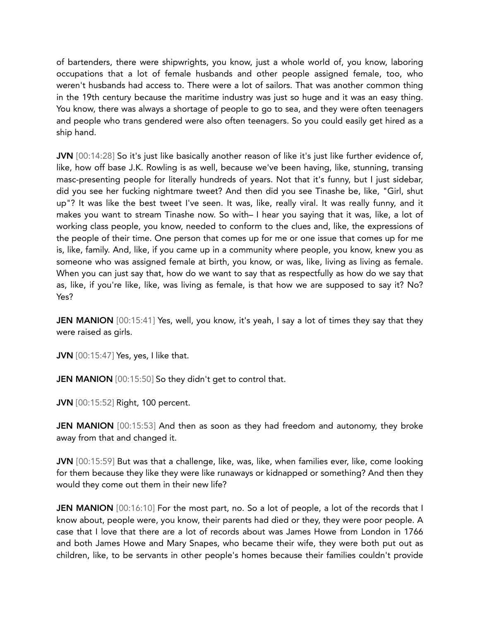of bartenders, there were shipwrights, you know, just a whole world of, you know, laboring occupations that a lot of female husbands and other people assigned female, too, who weren't husbands had access to. There were a lot of sailors. That was another common thing in the 19th century because the maritime industry was just so huge and it was an easy thing. You know, there was always a shortage of people to go to sea, and they were often teenagers and people who trans gendered were also often teenagers. So you could easily get hired as a ship hand.

JVN [00:14:28] So it's just like basically another reason of like it's just like further evidence of, like, how off base J.K. Rowling is as well, because we've been having, like, stunning, transing masc-presenting people for literally hundreds of years. Not that it's funny, but I just sidebar, did you see her fucking nightmare tweet? And then did you see Tinashe be, like, "Girl, shut up"? It was like the best tweet I've seen. It was, like, really viral. It was really funny, and it makes you want to stream Tinashe now. So with– I hear you saying that it was, like, a lot of working class people, you know, needed to conform to the clues and, like, the expressions of the people of their time. One person that comes up for me or one issue that comes up for me is, like, family. And, like, if you came up in a community where people, you know, knew you as someone who was assigned female at birth, you know, or was, like, living as living as female. When you can just say that, how do we want to say that as respectfully as how do we say that as, like, if you're like, like, was living as female, is that how we are supposed to say it? No? Yes?

**JEN MANION** [00:15:41] Yes, well, you know, it's yeah, I say a lot of times they say that they were raised as girls.

**JVN** [00:15:47] Yes, yes, I like that.

JEN MANION [00:15:50] So they didn't get to control that.

JVN [00:15:52] Right, 100 percent.

JEN MANION [00:15:53] And then as soon as they had freedom and autonomy, they broke away from that and changed it.

JVN [00:15:59] But was that a challenge, like, was, like, when families ever, like, come looking for them because they like they were like runaways or kidnapped or something? And then they would they come out them in their new life?

**JEN MANION**  $[00:16:10]$  For the most part, no. So a lot of people, a lot of the records that I know about, people were, you know, their parents had died or they, they were poor people. A case that I love that there are a lot of records about was James Howe from London in 1766 and both James Howe and Mary Snapes, who became their wife, they were both put out as children, like, to be servants in other people's homes because their families couldn't provide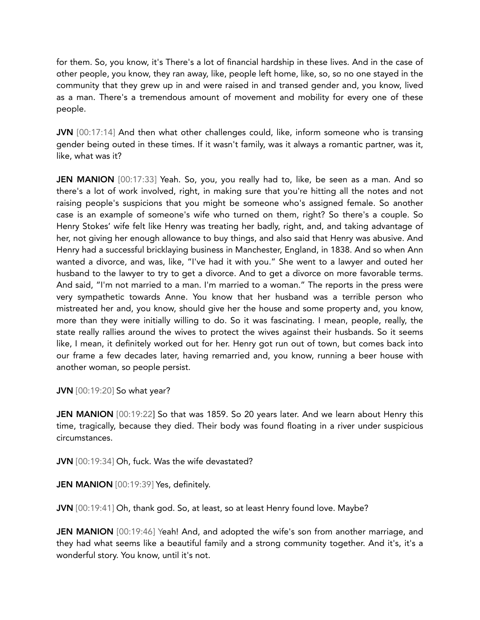for them. So, you know, it's There's a lot of financial hardship in these lives. And in the case of other people, you know, they ran away, like, people left home, like, so, so no one stayed in the community that they grew up in and were raised in and transed gender and, you know, lived as a man. There's a tremendous amount of movement and mobility for every one of these people.

JVN [00:17:14] And then what other challenges could, like, inform someone who is transing gender being outed in these times. If it wasn't family, was it always a romantic partner, was it, like, what was it?

JEN MANION [00:17:33] Yeah. So, you, you really had to, like, be seen as a man. And so there's a lot of work involved, right, in making sure that you're hitting all the notes and not raising people's suspicions that you might be someone who's assigned female. So another case is an example of someone's wife who turned on them, right? So there's a couple. So Henry Stokes' wife felt like Henry was treating her badly, right, and, and taking advantage of her, not giving her enough allowance to buy things, and also said that Henry was abusive. And Henry had a successful bricklaying business in Manchester, England, in 1838. And so when Ann wanted a divorce, and was, like, "I've had it with you." She went to a lawyer and outed her husband to the lawyer to try to get a divorce. And to get a divorce on more favorable terms. And said, "I'm not married to a man. I'm married to a woman." The reports in the press were very sympathetic towards Anne. You know that her husband was a terrible person who mistreated her and, you know, should give her the house and some property and, you know, more than they were initially willing to do. So it was fascinating. I mean, people, really, the state really rallies around the wives to protect the wives against their husbands. So it seems like, I mean, it definitely worked out for her. Henry got run out of town, but comes back into our frame a few decades later, having remarried and, you know, running a beer house with another woman, so people persist.

JVN [00:19:20] So what year?

JEN MANION [00:19:22] So that was 1859. So 20 years later. And we learn about Henry this time, tragically, because they died. Their body was found floating in a river under suspicious circumstances.

JVN [00:19:34] Oh, fuck. Was the wife devastated?

JEN MANION [00:19:39] Yes, definitely.

JVN [00:19:41] Oh, thank god. So, at least, so at least Henry found love. Maybe?

JEN MANION [00:19:46] Yeah! And, and adopted the wife's son from another marriage, and they had what seems like a beautiful family and a strong community together. And it's, it's a wonderful story. You know, until it's not.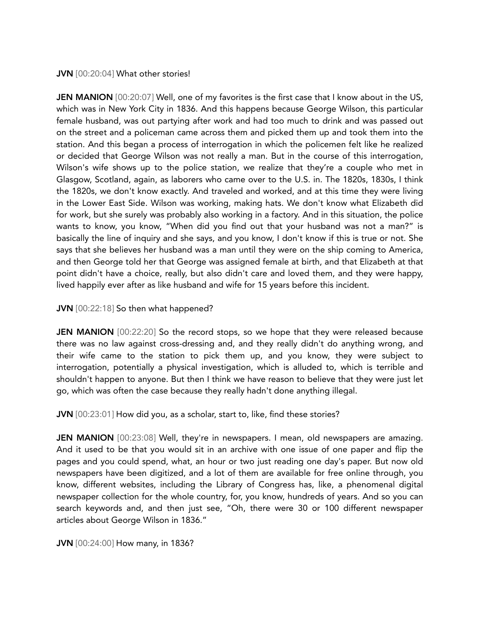#### JVN [00:20:04] What other stories!

**JEN MANION** [00:20:07] Well, one of my favorites is the first case that I know about in the US, which was in New York City in 1836. And this happens because George Wilson, this particular female husband, was out partying after work and had too much to drink and was passed out on the street and a policeman came across them and picked them up and took them into the station. And this began a process of interrogation in which the policemen felt like he realized or decided that George Wilson was not really a man. But in the course of this interrogation, Wilson's wife shows up to the police station, we realize that they're a couple who met in Glasgow, Scotland, again, as laborers who came over to the U.S. in. The 1820s, 1830s, I think the 1820s, we don't know exactly. And traveled and worked, and at this time they were living in the Lower East Side. Wilson was working, making hats. We don't know what Elizabeth did for work, but she surely was probably also working in a factory. And in this situation, the police wants to know, you know, "When did you find out that your husband was not a man?" is basically the line of inquiry and she says, and you know, I don't know if this is true or not. She says that she believes her husband was a man until they were on the ship coming to America, and then George told her that George was assigned female at birth, and that Elizabeth at that point didn't have a choice, really, but also didn't care and loved them, and they were happy, lived happily ever after as like husband and wife for 15 years before this incident.

#### JVN [00:22:18] So then what happened?

**JEN MANION** [00:22:20] So the record stops, so we hope that they were released because there was no law against cross-dressing and, and they really didn't do anything wrong, and their wife came to the station to pick them up, and you know, they were subject to interrogation, potentially a physical investigation, which is alluded to, which is terrible and shouldn't happen to anyone. But then I think we have reason to believe that they were just let go, which was often the case because they really hadn't done anything illegal.

JVN [00:23:01] How did you, as a scholar, start to, like, find these stories?

JEN MANION [00:23:08] Well, they're in newspapers. I mean, old newspapers are amazing. And it used to be that you would sit in an archive with one issue of one paper and flip the pages and you could spend, what, an hour or two just reading one day's paper. But now old newspapers have been digitized, and a lot of them are available for free online through, you know, different websites, including the Library of Congress has, like, a phenomenal digital newspaper collection for the whole country, for, you know, hundreds of years. And so you can search keywords and, and then just see, "Oh, there were 30 or 100 different newspaper articles about George Wilson in 1836."

JVN [00:24:00] How many, in 1836?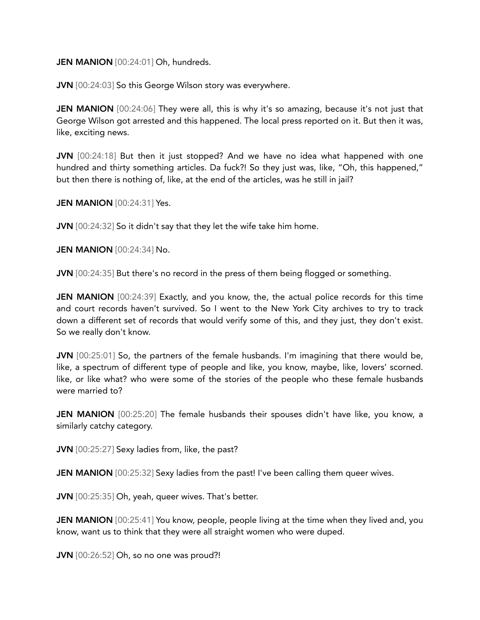#### JEN MANION [00:24:01] Oh, hundreds.

JVN [00:24:03] So this George Wilson story was everywhere.

**JEN MANION** [00:24:06] They were all, this is why it's so amazing, because it's not just that George Wilson got arrested and this happened. The local press reported on it. But then it was, like, exciting news.

JVN [00:24:18] But then it just stopped? And we have no idea what happened with one hundred and thirty something articles. Da fuck?! So they just was, like, "Oh, this happened," but then there is nothing of, like, at the end of the articles, was he still in jail?

**JEN MANION** [00:24:31] Yes.

**JVN** [00:24:32] So it didn't say that they let the wife take him home.

JEN MANION [00:24:34] No.

JVN [00:24:35] But there's no record in the press of them being flogged or something.

JEN MANION [00:24:39] Exactly, and you know, the, the actual police records for this time and court records haven't survived. So I went to the New York City archives to try to track down a different set of records that would verify some of this, and they just, they don't exist. So we really don't know.

JVN [00:25:01] So, the partners of the female husbands. I'm imagining that there would be, like, a spectrum of different type of people and like, you know, maybe, like, lovers' scorned. like, or like what? who were some of the stories of the people who these female husbands were married to?

JEN MANION [00:25:20] The female husbands their spouses didn't have like, you know, a similarly catchy category.

JVN [00:25:27] Sexy ladies from, like, the past?

JEN MANION [00:25:32] Sexy ladies from the past! I've been calling them queer wives.

JVN [00:25:35] Oh, yeah, queer wives. That's better.

**JEN MANION** [00:25:41] You know, people, people living at the time when they lived and, you know, want us to think that they were all straight women who were duped.

JVN [00:26:52] Oh, so no one was proud?!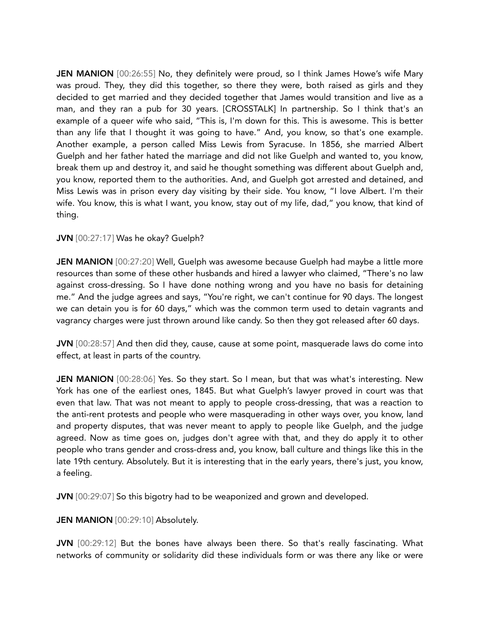JEN MANION [00:26:55] No, they definitely were proud, so I think James Howe's wife Mary was proud. They, they did this together, so there they were, both raised as girls and they decided to get married and they decided together that James would transition and live as a man, and they ran a pub for 30 years. [CROSSTALK] In partnership. So I think that's an example of a queer wife who said, "This is, I'm down for this. This is awesome. This is better than any life that I thought it was going to have." And, you know, so that's one example. Another example, a person called Miss Lewis from Syracuse. In 1856, she married Albert Guelph and her father hated the marriage and did not like Guelph and wanted to, you know, break them up and destroy it, and said he thought something was different about Guelph and, you know, reported them to the authorities. And, and Guelph got arrested and detained, and Miss Lewis was in prison every day visiting by their side. You know, "I love Albert. I'm their wife. You know, this is what I want, you know, stay out of my life, dad," you know, that kind of thing.

### JVN [00:27:17] Was he okay? Guelph?

**JEN MANION** [00:27:20] Well, Guelph was awesome because Guelph had maybe a little more resources than some of these other husbands and hired a lawyer who claimed, "There's no law against cross-dressing. So I have done nothing wrong and you have no basis for detaining me." And the judge agrees and says, "You're right, we can't continue for 90 days. The longest we can detain you is for 60 days," which was the common term used to detain vagrants and vagrancy charges were just thrown around like candy. So then they got released after 60 days.

JVN [00:28:57] And then did they, cause, cause at some point, masquerade laws do come into effect, at least in parts of the country.

JEN MANION [00:28:06] Yes. So they start. So I mean, but that was what's interesting. New York has one of the earliest ones, 1845. But what Guelph's lawyer proved in court was that even that law. That was not meant to apply to people cross-dressing, that was a reaction to the anti-rent protests and people who were masquerading in other ways over, you know, land and property disputes, that was never meant to apply to people like Guelph, and the judge agreed. Now as time goes on, judges don't agree with that, and they do apply it to other people who trans gender and cross-dress and, you know, ball culture and things like this in the late 19th century. Absolutely. But it is interesting that in the early years, there's just, you know, a feeling.

JVN [00:29:07] So this bigotry had to be weaponized and grown and developed.

JEN MANION [00:29:10] Absolutely.

JVN [00:29:12] But the bones have always been there. So that's really fascinating. What networks of community or solidarity did these individuals form or was there any like or were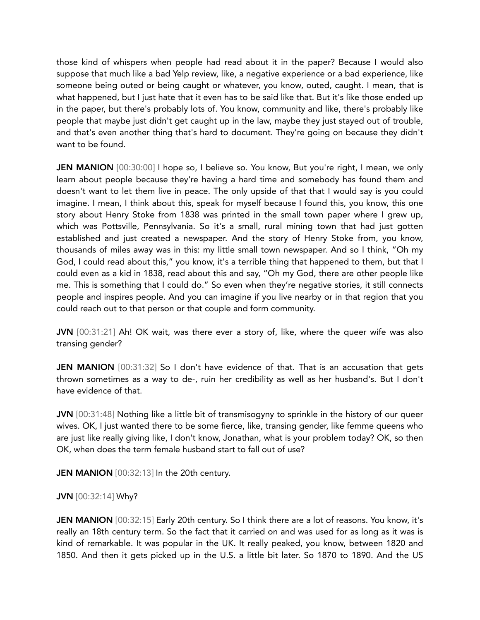those kind of whispers when people had read about it in the paper? Because I would also suppose that much like a bad Yelp review, like, a negative experience or a bad experience, like someone being outed or being caught or whatever, you know, outed, caught. I mean, that is what happened, but I just hate that it even has to be said like that. But it's like those ended up in the paper, but there's probably lots of. You know, community and like, there's probably like people that maybe just didn't get caught up in the law, maybe they just stayed out of trouble, and that's even another thing that's hard to document. They're going on because they didn't want to be found.

JEN MANION [00:30:00] I hope so, I believe so. You know, But you're right, I mean, we only learn about people because they're having a hard time and somebody has found them and doesn't want to let them live in peace. The only upside of that that I would say is you could imagine. I mean, I think about this, speak for myself because I found this, you know, this one story about Henry Stoke from 1838 was printed in the small town paper where I grew up, which was Pottsville, Pennsylvania. So it's a small, rural mining town that had just gotten established and just created a newspaper. And the story of Henry Stoke from, you know, thousands of miles away was in this: my little small town newspaper. And so I think, "Oh my God, I could read about this," you know, it's a terrible thing that happened to them, but that I could even as a kid in 1838, read about this and say, "Oh my God, there are other people like me. This is something that I could do." So even when they're negative stories, it still connects people and inspires people. And you can imagine if you live nearby or in that region that you could reach out to that person or that couple and form community.

JVN [00:31:21] Ah! OK wait, was there ever a story of, like, where the queer wife was also transing gender?

**JEN MANION** [00:31:32] So I don't have evidence of that. That is an accusation that gets thrown sometimes as a way to de-, ruin her credibility as well as her husband's. But I don't have evidence of that.

JVN [00:31:48] Nothing like a little bit of transmisogyny to sprinkle in the history of our queer wives. OK, I just wanted there to be some fierce, like, transing gender, like femme queens who are just like really giving like, I don't know, Jonathan, what is your problem today? OK, so then OK, when does the term female husband start to fall out of use?

JEN MANION [00:32:13] In the 20th century.

## JVN [00:32:14] Why?

JEN MANION [00:32:15] Early 20th century. So I think there are a lot of reasons. You know, it's really an 18th century term. So the fact that it carried on and was used for as long as it was is kind of remarkable. It was popular in the UK. It really peaked, you know, between 1820 and 1850. And then it gets picked up in the U.S. a little bit later. So 1870 to 1890. And the US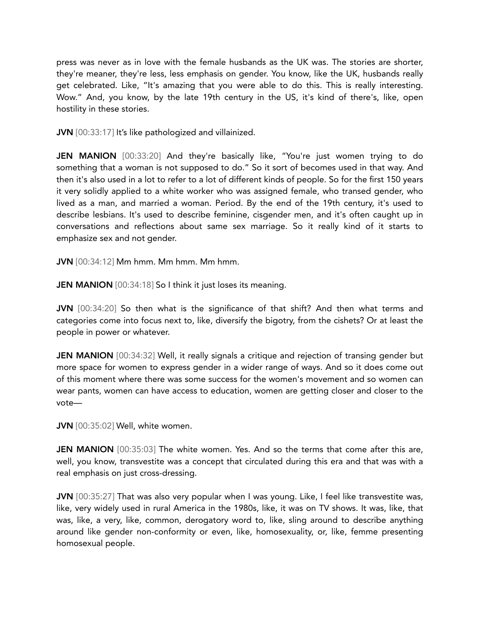press was never as in love with the female husbands as the UK was. The stories are shorter, they're meaner, they're less, less emphasis on gender. You know, like the UK, husbands really get celebrated. Like, "It's amazing that you were able to do this. This is really interesting. Wow." And, you know, by the late 19th century in the US, it's kind of there's, like, open hostility in these stories.

JVN [00:33:17] It's like pathologized and villainized.

JEN MANION [00:33:20] And they're basically like, "You're just women trying to do something that a woman is not supposed to do." So it sort of becomes used in that way. And then it's also used in a lot to refer to a lot of different kinds of people. So for the first 150 years it very solidly applied to a white worker who was assigned female, who transed gender, who lived as a man, and married a woman. Period. By the end of the 19th century, it's used to describe lesbians. It's used to describe feminine, cisgender men, and it's often caught up in conversations and reflections about same sex marriage. So it really kind of it starts to emphasize sex and not gender.

JVN [00:34:12] Mm hmm. Mm hmm. Mm hmm.

**JEN MANION** [00:34:18] So I think it just loses its meaning.

JVN [00:34:20] So then what is the significance of that shift? And then what terms and categories come into focus next to, like, diversify the bigotry, from the cishets? Or at least the people in power or whatever.

**JEN MANION** [00:34:32] Well, it really signals a critique and rejection of transing gender but more space for women to express gender in a wider range of ways. And so it does come out of this moment where there was some success for the women's movement and so women can wear pants, women can have access to education, women are getting closer and closer to the vote—

JVN [00:35:02] Well, white women.

JEN MANION [00:35:03] The white women. Yes. And so the terms that come after this are, well, you know, transvestite was a concept that circulated during this era and that was with a real emphasis on just cross-dressing.

JVN [00:35:27] That was also very popular when I was young. Like, I feel like transvestite was, like, very widely used in rural America in the 1980s, like, it was on TV shows. It was, like, that was, like, a very, like, common, derogatory word to, like, sling around to describe anything around like gender non-conformity or even, like, homosexuality, or, like, femme presenting homosexual people.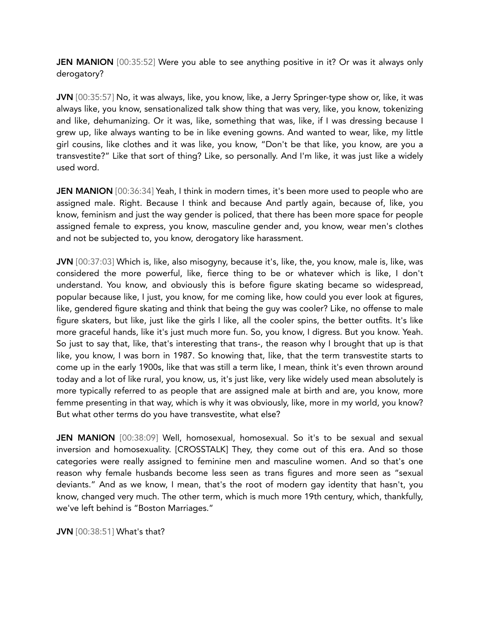**JEN MANION** [00:35:52] Were you able to see anything positive in it? Or was it always only derogatory?

JVN [00:35:57] No, it was always, like, you know, like, a Jerry Springer-type show or, like, it was always like, you know, sensationalized talk show thing that was very, like, you know, tokenizing and like, dehumanizing. Or it was, like, something that was, like, if I was dressing because I grew up, like always wanting to be in like evening gowns. And wanted to wear, like, my little girl cousins, like clothes and it was like, you know, "Don't be that like, you know, are you a transvestite?" Like that sort of thing? Like, so personally. And I'm like, it was just like a widely used word.

**JEN MANION** [00:36:34] Yeah, I think in modern times, it's been more used to people who are assigned male. Right. Because I think and because And partly again, because of, like, you know, feminism and just the way gender is policed, that there has been more space for people assigned female to express, you know, masculine gender and, you know, wear men's clothes and not be subjected to, you know, derogatory like harassment.

JVN [00:37:03] Which is, like, also misogyny, because it's, like, the, you know, male is, like, was considered the more powerful, like, fierce thing to be or whatever which is like, I don't understand. You know, and obviously this is before figure skating became so widespread, popular because like, I just, you know, for me coming like, how could you ever look at figures, like, gendered figure skating and think that being the guy was cooler? Like, no offense to male figure skaters, but like, just like the girls I like, all the cooler spins, the better outfits. It's like more graceful hands, like it's just much more fun. So, you know, I digress. But you know. Yeah. So just to say that, like, that's interesting that trans-, the reason why I brought that up is that like, you know, I was born in 1987. So knowing that, like, that the term transvestite starts to come up in the early 1900s, like that was still a term like, I mean, think it's even thrown around today and a lot of like rural, you know, us, it's just like, very like widely used mean absolutely is more typically referred to as people that are assigned male at birth and are, you know, more femme presenting in that way, which is why it was obviously, like, more in my world, you know? But what other terms do you have transvestite, what else?

JEN MANION [00:38:09] Well, homosexual, homosexual. So it's to be sexual and sexual inversion and homosexuality. [CROSSTALK] They, they come out of this era. And so those categories were really assigned to feminine men and masculine women. And so that's one reason why female husbands become less seen as trans figures and more seen as "sexual deviants." And as we know, I mean, that's the root of modern gay identity that hasn't, you know, changed very much. The other term, which is much more 19th century, which, thankfully, we've left behind is "Boston Marriages."

JVN [00:38:51] What's that?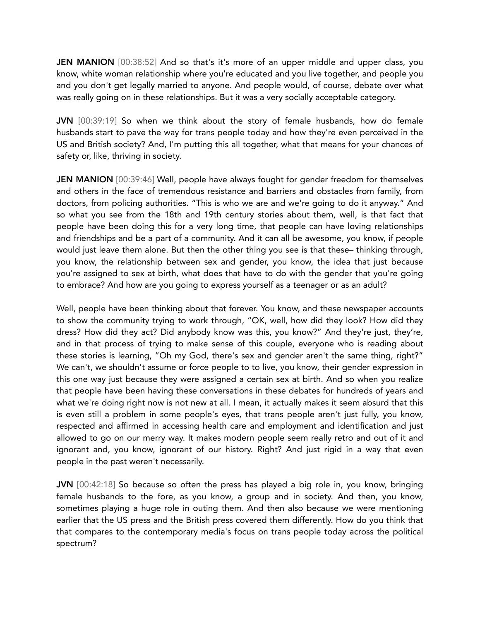**JEN MANION** [00:38:52] And so that's it's more of an upper middle and upper class, you know, white woman relationship where you're educated and you live together, and people you and you don't get legally married to anyone. And people would, of course, debate over what was really going on in these relationships. But it was a very socially acceptable category.

JVN [00:39:19] So when we think about the story of female husbands, how do female husbands start to pave the way for trans people today and how they're even perceived in the US and British society? And, I'm putting this all together, what that means for your chances of safety or, like, thriving in society.

**JEN MANION** [00:39:46] Well, people have always fought for gender freedom for themselves and others in the face of tremendous resistance and barriers and obstacles from family, from doctors, from policing authorities. "This is who we are and we're going to do it anyway." And so what you see from the 18th and 19th century stories about them, well, is that fact that people have been doing this for a very long time, that people can have loving relationships and friendships and be a part of a community. And it can all be awesome, you know, if people would just leave them alone. But then the other thing you see is that these– thinking through, you know, the relationship between sex and gender, you know, the idea that just because you're assigned to sex at birth, what does that have to do with the gender that you're going to embrace? And how are you going to express yourself as a teenager or as an adult?

Well, people have been thinking about that forever. You know, and these newspaper accounts to show the community trying to work through, "OK, well, how did they look? How did they dress? How did they act? Did anybody know was this, you know?" And they're just, they're, and in that process of trying to make sense of this couple, everyone who is reading about these stories is learning, "Oh my God, there's sex and gender aren't the same thing, right?" We can't, we shouldn't assume or force people to to live, you know, their gender expression in this one way just because they were assigned a certain sex at birth. And so when you realize that people have been having these conversations in these debates for hundreds of years and what we're doing right now is not new at all. I mean, it actually makes it seem absurd that this is even still a problem in some people's eyes, that trans people aren't just fully, you know, respected and affirmed in accessing health care and employment and identification and just allowed to go on our merry way. It makes modern people seem really retro and out of it and ignorant and, you know, ignorant of our history. Right? And just rigid in a way that even people in the past weren't necessarily.

JVN [00:42:18] So because so often the press has played a big role in, you know, bringing female husbands to the fore, as you know, a group and in society. And then, you know, sometimes playing a huge role in outing them. And then also because we were mentioning earlier that the US press and the British press covered them differently. How do you think that that compares to the contemporary media's focus on trans people today across the political spectrum?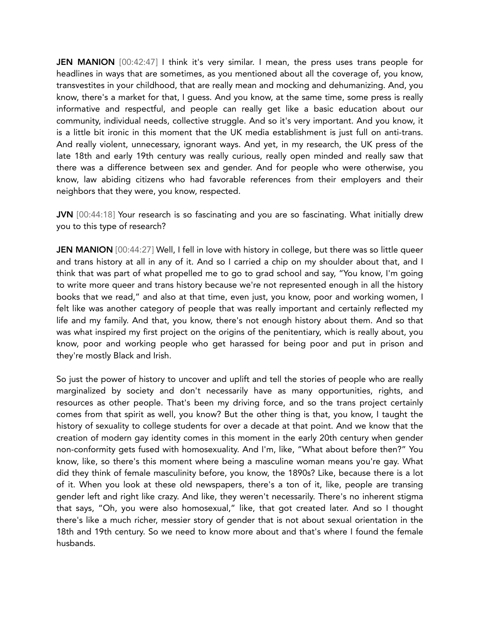JEN MANION [00:42:47] I think it's very similar. I mean, the press uses trans people for headlines in ways that are sometimes, as you mentioned about all the coverage of, you know, transvestites in your childhood, that are really mean and mocking and dehumanizing. And, you know, there's a market for that, I guess. And you know, at the same time, some press is really informative and respectful, and people can really get like a basic education about our community, individual needs, collective struggle. And so it's very important. And you know, it is a little bit ironic in this moment that the UK media establishment is just full on anti-trans. And really violent, unnecessary, ignorant ways. And yet, in my research, the UK press of the late 18th and early 19th century was really curious, really open minded and really saw that there was a difference between sex and gender. And for people who were otherwise, you know, law abiding citizens who had favorable references from their employers and their neighbors that they were, you know, respected.

JVN [00:44:18] Your research is so fascinating and you are so fascinating. What initially drew you to this type of research?

JEN MANION [00:44:27] Well, I fell in love with history in college, but there was so little queer and trans history at all in any of it. And so I carried a chip on my shoulder about that, and I think that was part of what propelled me to go to grad school and say, "You know, I'm going to write more queer and trans history because we're not represented enough in all the history books that we read," and also at that time, even just, you know, poor and working women, I felt like was another category of people that was really important and certainly reflected my life and my family. And that, you know, there's not enough history about them. And so that was what inspired my first project on the origins of the penitentiary, which is really about, you know, poor and working people who get harassed for being poor and put in prison and they're mostly Black and Irish.

So just the power of history to uncover and uplift and tell the stories of people who are really marginalized by society and don't necessarily have as many opportunities, rights, and resources as other people. That's been my driving force, and so the trans project certainly comes from that spirit as well, you know? But the other thing is that, you know, I taught the history of sexuality to college students for over a decade at that point. And we know that the creation of modern gay identity comes in this moment in the early 20th century when gender non-conformity gets fused with homosexuality. And I'm, like, "What about before then?" You know, like, so there's this moment where being a masculine woman means you're gay. What did they think of female masculinity before, you know, the 1890s? Like, because there is a lot of it. When you look at these old newspapers, there's a ton of it, like, people are transing gender left and right like crazy. And like, they weren't necessarily. There's no inherent stigma that says, "Oh, you were also homosexual," like, that got created later. And so I thought there's like a much richer, messier story of gender that is not about sexual orientation in the 18th and 19th century. So we need to know more about and that's where I found the female husbands.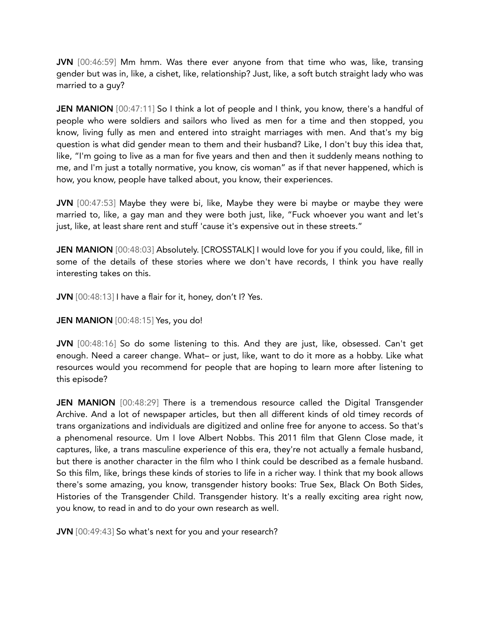JVN [00:46:59] Mm hmm. Was there ever anyone from that time who was, like, transing gender but was in, like, a cishet, like, relationship? Just, like, a soft butch straight lady who was married to a guy?

**JEN MANION** [00:47:11] So I think a lot of people and I think, you know, there's a handful of people who were soldiers and sailors who lived as men for a time and then stopped, you know, living fully as men and entered into straight marriages with men. And that's my big question is what did gender mean to them and their husband? Like, I don't buy this idea that, like, "I'm going to live as a man for five years and then and then it suddenly means nothing to me, and I'm just a totally normative, you know, cis woman" as if that never happened, which is how, you know, people have talked about, you know, their experiences.

JVN [00:47:53] Maybe they were bi, like, Maybe they were bi maybe or maybe they were married to, like, a gay man and they were both just, like, "Fuck whoever you want and let's just, like, at least share rent and stuff 'cause it's expensive out in these streets."

JEN MANION [00:48:03] Absolutely. [CROSSTALK] I would love for you if you could, like, fill in some of the details of these stories where we don't have records, I think you have really interesting takes on this.

JVN [00:48:13] I have a flair for it, honey, don't I? Yes.

JEN MANION [00:48:15] Yes, you do!

JVN [00:48:16] So do some listening to this. And they are just, like, obsessed. Can't get enough. Need a career change. What– or just, like, want to do it more as a hobby. Like what resources would you recommend for people that are hoping to learn more after listening to this episode?

**JEN MANION** [00:48:29] There is a tremendous resource called the Digital Transgender Archive. And a lot of newspaper articles, but then all different kinds of old timey records of trans organizations and individuals are digitized and online free for anyone to access. So that's a phenomenal resource. Um I love Albert Nobbs. This 2011 film that Glenn Close made, it captures, like, a trans masculine experience of this era, they're not actually a female husband, but there is another character in the film who I think could be described as a female husband. So this film, like, brings these kinds of stories to life in a richer way. I think that my book allows there's some amazing, you know, transgender history books: True Sex, Black On Both Sides, Histories of the Transgender Child. Transgender history. It's a really exciting area right now, you know, to read in and to do your own research as well.

JVN [00:49:43] So what's next for you and your research?